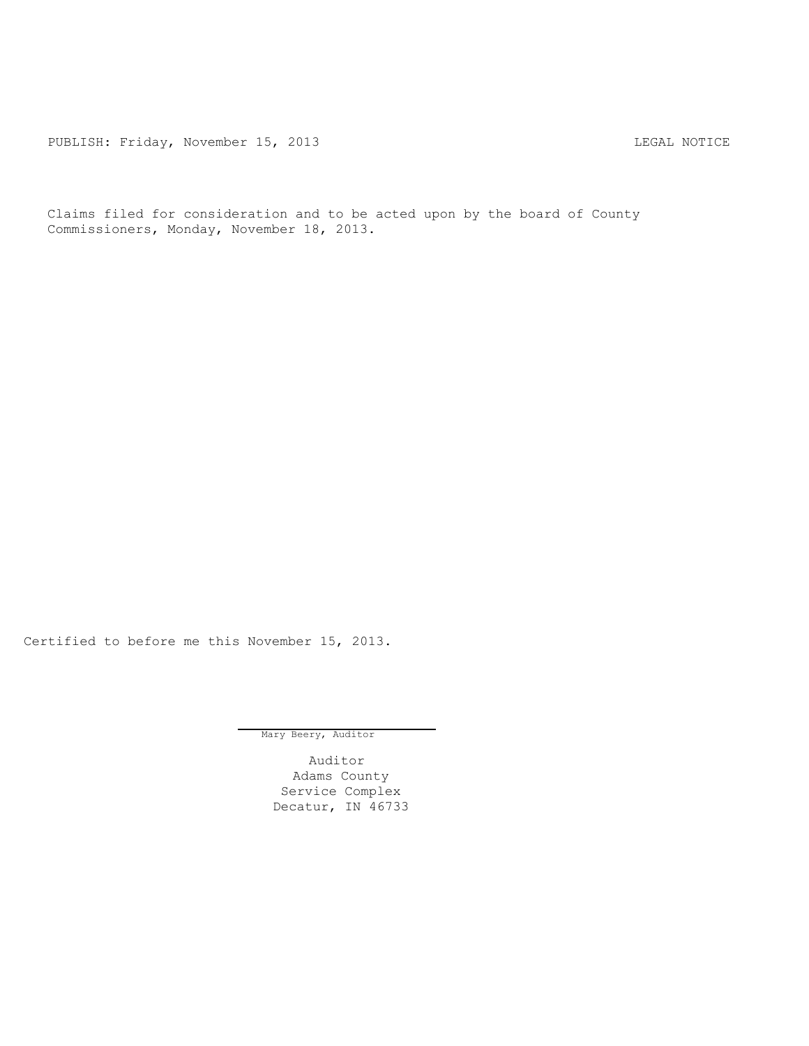PUBLISH: Friday, November 15, 2013 CHA CHANGE CONSTRUCTED AND THE LEGAL NOTICE

Claims filed for consideration and to be acted upon by the board of County Commissioners, Monday, November 18, 2013.

Certified to before me this November 15, 2013.

Mary Beery, Auditor

Auditor Adams County Service Complex Decatur, IN 46733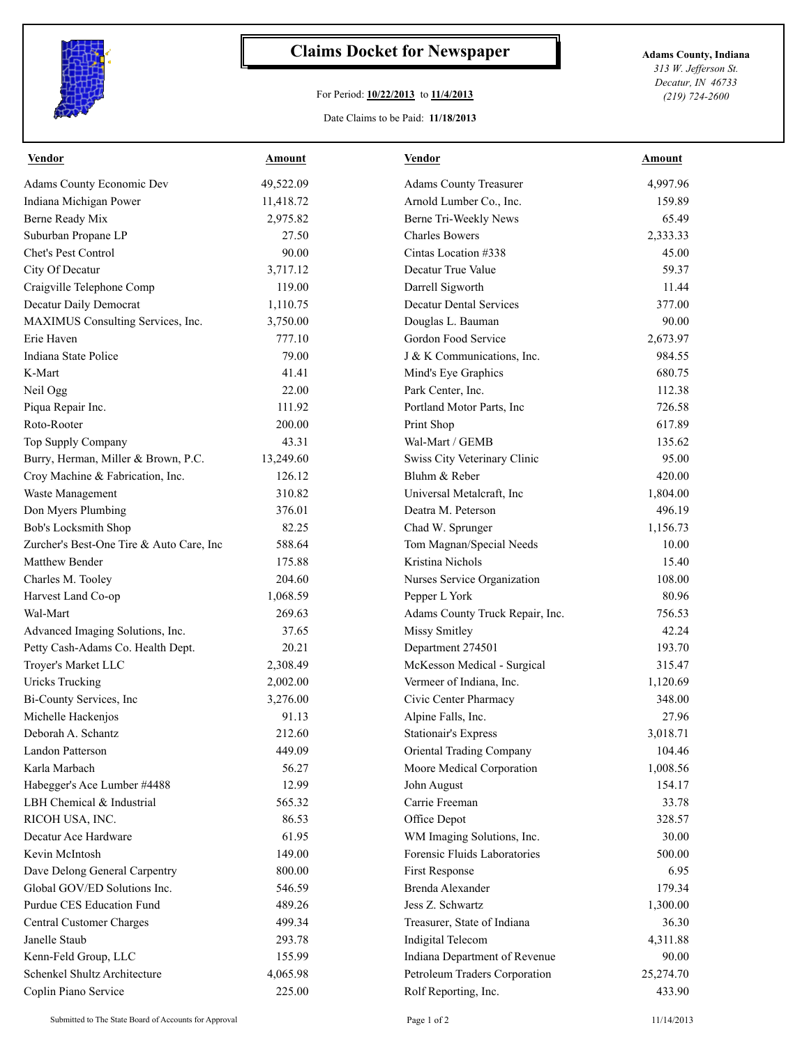

## **Claims Docket for Newspaper Adams County, Indiana**

## For Period: **10/22/2013** to **11/4/2013**

Date Claims to be Paid: **11/18/2013**

*313 W. Jefferson St. Decatur, IN 46733 (219) 724-2600*

| <b>Vendor</b>                            | Amount    | <b>Vendor</b>                   | Amount    |
|------------------------------------------|-----------|---------------------------------|-----------|
| Adams County Economic Dev                | 49,522.09 | <b>Adams County Treasurer</b>   | 4,997.96  |
| Indiana Michigan Power                   | 11,418.72 | Arnold Lumber Co., Inc.         | 159.89    |
| Berne Ready Mix                          | 2,975.82  | Berne Tri-Weekly News           | 65.49     |
| Suburban Propane LP                      | 27.50     | <b>Charles Bowers</b>           | 2,333.33  |
| Chet's Pest Control                      | 90.00     | Cintas Location #338            | 45.00     |
| City Of Decatur                          | 3,717.12  | Decatur True Value              | 59.37     |
| Craigville Telephone Comp                | 119.00    | Darrell Sigworth                | 11.44     |
| Decatur Daily Democrat                   | 1,110.75  | <b>Decatur Dental Services</b>  | 377.00    |
| MAXIMUS Consulting Services, Inc.        | 3,750.00  | Douglas L. Bauman               | 90.00     |
| Erie Haven                               | 777.10    | Gordon Food Service             | 2,673.97  |
| Indiana State Police                     | 79.00     | J & K Communications, Inc.      | 984.55    |
| K-Mart                                   | 41.41     | Mind's Eye Graphics             | 680.75    |
| Neil Ogg                                 | 22.00     | Park Center, Inc.               | 112.38    |
| Piqua Repair Inc.                        | 111.92    | Portland Motor Parts, Inc.      | 726.58    |
| Roto-Rooter                              | 200.00    | Print Shop                      | 617.89    |
| Top Supply Company                       | 43.31     | Wal-Mart / GEMB                 | 135.62    |
| Burry, Herman, Miller & Brown, P.C.      | 13,249.60 | Swiss City Veterinary Clinic    | 95.00     |
| Croy Machine & Fabrication, Inc.         | 126.12    | Bluhm & Reber                   | 420.00    |
| Waste Management                         | 310.82    | Universal Metalcraft, Inc.      | 1,804.00  |
| Don Myers Plumbing                       | 376.01    | Deatra M. Peterson              | 496.19    |
| Bob's Locksmith Shop                     | 82.25     | Chad W. Sprunger                | 1,156.73  |
| Zurcher's Best-One Tire & Auto Care, Inc | 588.64    | Tom Magnan/Special Needs        | 10.00     |
| Matthew Bender                           | 175.88    | Kristina Nichols                | 15.40     |
| Charles M. Tooley                        | 204.60    | Nurses Service Organization     | 108.00    |
| Harvest Land Co-op                       | 1,068.59  | Pepper L York                   | 80.96     |
| Wal-Mart                                 | 269.63    | Adams County Truck Repair, Inc. | 756.53    |
| Advanced Imaging Solutions, Inc.         | 37.65     | Missy Smitley                   | 42.24     |
| Petty Cash-Adams Co. Health Dept.        | 20.21     | Department 274501               | 193.70    |
| Troyer's Market LLC                      | 2,308.49  | McKesson Medical - Surgical     | 315.47    |
| <b>Uricks Trucking</b>                   | 2,002.00  | Vermeer of Indiana, Inc.        | 1,120.69  |
| Bi-County Services, Inc                  | 3,276.00  | Civic Center Pharmacy           | 348.00    |
|                                          | 91.13     |                                 | 27.96     |
| Michelle Hackenjos                       | 212.60    | Alpine Falls, Inc.              | 3,018.71  |
| Deborah A. Schantz                       |           | Stationair's Express            |           |
| <b>Landon Patterson</b>                  | 449.09    | Oriental Trading Company        | 104.46    |
| Karla Marbach                            | 56.27     | Moore Medical Corporation       | 1,008.56  |
| Habegger's Ace Lumber #4488              | 12.99     | John August                     | 154.17    |
| LBH Chemical & Industrial                | 565.32    | Carrie Freeman                  | 33.78     |
| RICOH USA, INC.                          | 86.53     | Office Depot                    | 328.57    |
| Decatur Ace Hardware                     | 61.95     | WM Imaging Solutions, Inc.      | 30.00     |
| Kevin McIntosh                           | 149.00    | Forensic Fluids Laboratories    | 500.00    |
| Dave Delong General Carpentry            | 800.00    | <b>First Response</b>           | 6.95      |
| Global GOV/ED Solutions Inc.             | 546.59    | Brenda Alexander                | 179.34    |
| Purdue CES Education Fund                | 489.26    | Jess Z. Schwartz                | 1,300.00  |
| Central Customer Charges                 | 499.34    | Treasurer, State of Indiana     | 36.30     |
| Janelle Staub                            | 293.78    | Indigital Telecom               | 4,311.88  |
| Kenn-Feld Group, LLC                     | 155.99    | Indiana Department of Revenue   | 90.00     |
| Schenkel Shultz Architecture             | 4,065.98  | Petroleum Traders Corporation   | 25,274.70 |
| Coplin Piano Service                     | 225.00    | Rolf Reporting, Inc.            | 433.90    |